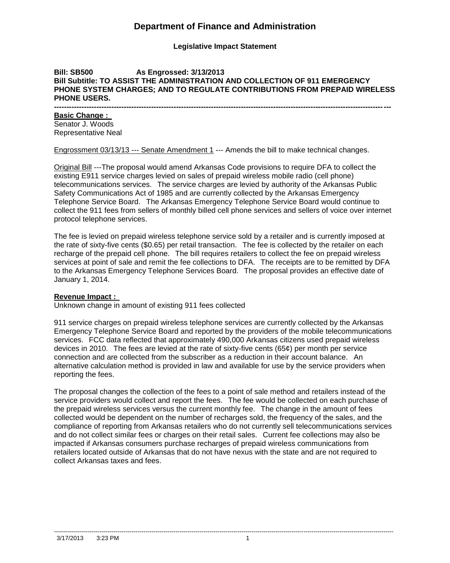## **Department of Finance and Administration**

**Legislative Impact Statement**

### **Bill: SB500 As Engrossed: 3/13/2013 Bill Subtitle: TO ASSIST THE ADMINISTRATION AND COLLECTION OF 911 EMERGENCY PHONE SYSTEM CHARGES; AND TO REGULATE CONTRIBUTIONS FROM PREPAID WIRELESS PHONE USERS.**

**---------------------------------------------------------------------------------------------------------------------------------------**

## **Basic Change :**

Senator J. Woods Representative Neal

Engrossment 03/13/13 --- Senate Amendment 1 --- Amends the bill to make technical changes.

Original Bill ---The proposal would amend Arkansas Code provisions to require DFA to collect the existing E911 service charges levied on sales of prepaid wireless mobile radio (cell phone) telecommunications services. The service charges are levied by authority of the Arkansas Public Safety Communications Act of 1985 and are currently collected by the Arkansas Emergency Telephone Service Board. The Arkansas Emergency Telephone Service Board would continue to collect the 911 fees from sellers of monthly billed cell phone services and sellers of voice over internet protocol telephone services.

The fee is levied on prepaid wireless telephone service sold by a retailer and is currently imposed at the rate of sixty-five cents (\$0.65) per retail transaction. The fee is collected by the retailer on each recharge of the prepaid cell phone. The bill requires retailers to collect the fee on prepaid wireless services at point of sale and remit the fee collections to DFA. The receipts are to be remitted by DFA to the Arkansas Emergency Telephone Services Board. The proposal provides an effective date of January 1, 2014.

## **Revenue Impact :**

Unknown change in amount of existing 911 fees collected

911 service charges on prepaid wireless telephone services are currently collected by the Arkansas Emergency Telephone Service Board and reported by the providers of the mobile telecommunications services. FCC data reflected that approximately 490,000 Arkansas citizens used prepaid wireless devices in 2010. The fees are levied at the rate of sixty-five cents (65¢) per month per service connection and are collected from the subscriber as a reduction in their account balance. An alternative calculation method is provided in law and available for use by the service providers when reporting the fees.

The proposal changes the collection of the fees to a point of sale method and retailers instead of the service providers would collect and report the fees. The fee would be collected on each purchase of the prepaid wireless services versus the current monthly fee. The change in the amount of fees collected would be dependent on the number of recharges sold, the frequency of the sales, and the compliance of reporting from Arkansas retailers who do not currently sell telecommunications services and do not collect similar fees or charges on their retail sales. Current fee collections may also be impacted if Arkansas consumers purchase recharges of prepaid wireless communications from retailers located outside of Arkansas that do not have nexus with the state and are not required to collect Arkansas taxes and fees.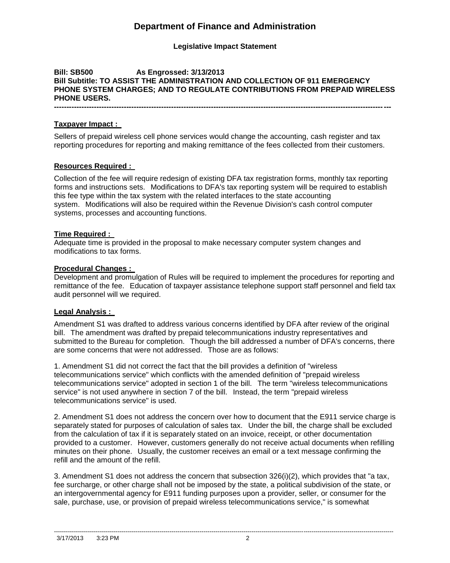# **Department of Finance and Administration**

**Legislative Impact Statement**

## **Bill: SB500 As Engrossed: 3/13/2013 Bill Subtitle: TO ASSIST THE ADMINISTRATION AND COLLECTION OF 911 EMERGENCY PHONE SYSTEM CHARGES; AND TO REGULATE CONTRIBUTIONS FROM PREPAID WIRELESS PHONE USERS.**

**---------------------------------------------------------------------------------------------------------------------------------------**

## **Taxpayer Impact :**

Sellers of prepaid wireless cell phone services would change the accounting, cash register and tax reporting procedures for reporting and making remittance of the fees collected from their customers.

## **Resources Required :**

Collection of the fee will require redesign of existing DFA tax registration forms, monthly tax reporting forms and instructions sets. Modifications to DFA's tax reporting system will be required to establish this fee type within the tax system with the related interfaces to the state accounting system. Modifications will also be required within the Revenue Division's cash control computer systems, processes and accounting functions.

## **Time Required :**

Adequate time is provided in the proposal to make necessary computer system changes and modifications to tax forms.

## **Procedural Changes :**

Development and promulgation of Rules will be required to implement the procedures for reporting and remittance of the fee. Education of taxpayer assistance telephone support staff personnel and field tax audit personnel will we required.

## **Legal Analysis :**

Amendment S1 was drafted to address various concerns identified by DFA after review of the original bill. The amendment was drafted by prepaid telecommunications industry representatives and submitted to the Bureau for completion. Though the bill addressed a number of DFA's concerns, there are some concerns that were not addressed. Those are as follows:

1. Amendment S1 did not correct the fact that the bill provides a definition of "wireless telecommunications service" which conflicts with the amended definition of "prepaid wireless telecommunications service" adopted in section 1 of the bill. The term "wireless telecommunications service" is not used anywhere in section 7 of the bill. Instead, the term "prepaid wireless telecommunications service" is used.

2. Amendment S1 does not address the concern over how to document that the E911 service charge is separately stated for purposes of calculation of sales tax. Under the bill, the charge shall be excluded from the calculation of tax if it is separately stated on an invoice, receipt, or other documentation provided to a customer. However, customers generally do not receive actual documents when refilling minutes on their phone. Usually, the customer receives an email or a text message confirming the refill and the amount of the refill.

3. Amendment S1 does not address the concern that subsection 326(i)(2), which provides that "a tax, fee surcharge, or other charge shall not be imposed by the state, a political subdivision of the state, or an intergovernmental agency for E911 funding purposes upon a provider, seller, or consumer for the sale, purchase, use, or provision of prepaid wireless telecommunications service," is somewhat

--------------------------------------------------------------------------------------------------------------------------------------------------------------------------